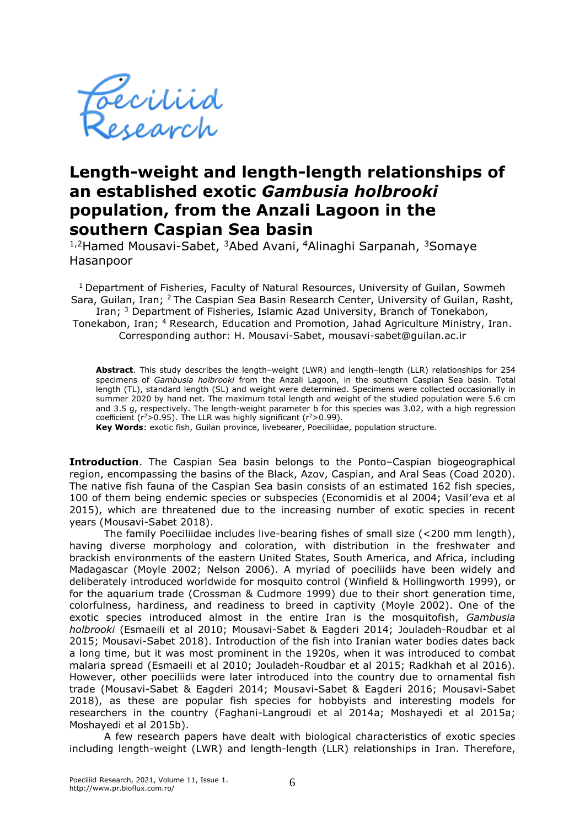

## **Length-weight and length-length relationships of an established exotic** *Gambusia holbrooki* **population, from the Anzali Lagoon in the southern Caspian Sea basin**

<sup>1,2</sup>Hamed Mousavi-Sabet, <sup>3</sup>Abed Avani, <sup>4</sup>Alinaghi Sarpanah, <sup>3</sup>Somaye Hasanpoor

<sup>1</sup> Department of Fisheries, Faculty of Natural Resources, University of Guilan, Sowmeh Sara, Guilan, Iran; <sup>2</sup>The Caspian Sea Basin Research Center, University of Guilan, Rasht, Iran; <sup>3</sup> Department of Fisheries, Islamic Azad University, Branch of Tonekabon, Tonekabon, Iran; <sup>4</sup> Research, Education and Promotion, Jahad Agriculture Ministry, Iran. Corresponding author: H. Mousavi-Sabet, mousavi-sabet@guilan.ac.ir

**Abstract**. This study describes the length–weight (LWR) and length–length (LLR) relationships for 254 specimens of *Gambusia holbrooki* from the Anzali Lagoon, in the southern Caspian Sea basin. Total length (TL), standard length (SL) and weight were determined. Specimens were collected occasionally in summer 2020 by hand net. The maximum total length and weight of the studied population were 5.6 cm and 3.5 g, respectively. The length-weight parameter b for this species was 3.02, with a high regression coefficient ( $r^2$ >0.95). The LLR was highly significant ( $r^2$ >0.99).

**Key Words**: exotic fish, Guilan province, livebearer, Poeciliidae, population structure.

**Introduction**. The Caspian Sea basin belongs to the Ponto–Caspian biogeographical region, encompassing the basins of the Black, Azov, Caspian, and Aral Seas (Coad 2020). The native fish fauna of the Caspian Sea basin consists of an estimated 162 fish species, 100 of them being endemic species or subspecies (Economidis et al 2004; Vasil'eva et al 2015), which are threatened due to the increasing number of exotic species in recent years (Mousavi-Sabet 2018).

The family Poeciliidae includes live-bearing fishes of small size (<200 mm length), having diverse morphology and coloration, with distribution in the freshwater and brackish environments of the eastern United States, South America, and Africa, including Madagascar (Moyle 2002; Nelson 2006). A myriad of poeciliids have been widely and deliberately introduced worldwide for mosquito control (Winfield & Hollingworth 1999), or for the aquarium trade (Crossman & Cudmore 1999) due to their short generation time, colorfulness, hardiness, and readiness to breed in captivity (Moyle 2002). One of the exotic species introduced almost in the entire Iran is the mosquitofish, *Gambusia holbrooki* (Esmaeili et al 2010; Mousavi-Sabet & Eagderi 2014; Jouladeh-Roudbar et al 2015; Mousavi-Sabet 2018). Introduction of the fish into Iranian water bodies dates back a long time, but it was most prominent in the 1920s, when it was introduced to combat malaria spread (Esmaeili et al 2010; Jouladeh-Roudbar et al 2015; Radkhah et al 2016). However, other poeciliids were later introduced into the country due to ornamental fish trade (Mousavi-Sabet & Eagderi 2014; Mousavi-Sabet & Eagderi 2016; Mousavi-Sabet 2018), as these are popular fish species for hobbyists and interesting models for researchers in the country (Faghani-Langroudi et al 2014a; Moshayedi et al 2015a; Moshayedi et al 2015b).

A few research papers have dealt with biological characteristics of exotic species including length-weight (LWR) and length-length (LLR) relationships in Iran. Therefore,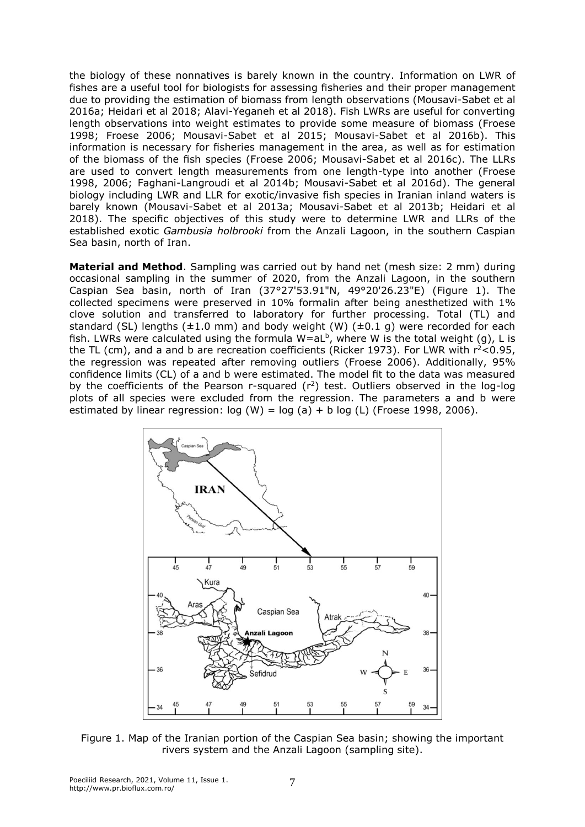the biology of these nonnatives is barely known in the country. Information on LWR of fishes are a useful tool for biologists for assessing fisheries and their proper management due to providing the estimation of biomass from length observations (Mousavi-Sabet et al 2016a; Heidari et al 2018; Alavi-Yeganeh et al 2018). Fish LWRs are useful for converting length observations into weight estimates to provide some measure of biomass (Froese 1998; Froese 2006; Mousavi-Sabet et al 2015; Mousavi-Sabet et al 2016b). This information is necessary for fisheries management in the area, as well as for estimation of the biomass of the fish species (Froese 2006; Mousavi-Sabet et al 2016c). The LLRs are used to convert length measurements from one length-type into another (Froese 1998, 2006; Faghani-Langroudi et al 2014b; Mousavi-Sabet et al 2016d). The general biology including LWR and LLR for exotic/invasive fish species in Iranian inland waters is barely known (Mousavi-Sabet et al 2013a; Mousavi-Sabet et al 2013b; Heidari et al 2018). The specific objectives of this study were to determine LWR and LLRs of the established exotic *Gambusia holbrooki* from the Anzali Lagoon, in the southern Caspian Sea basin, north of Iran.

**Material and Method**. Sampling was carried out by hand net (mesh size: 2 mm) during occasional sampling in the summer of 2020, from the Anzali Lagoon, in the southern Caspian Sea basin, north of Iran (37°27'53.91"N, 49°20'26.23"E) (Figure 1). The collected specimens were preserved in 10% formalin after being anesthetized with 1% clove solution and transferred to laboratory for further processing. Total (TL) and standard (SL) lengths  $(\pm 1.0 \text{ mm})$  and body weight (W)  $(\pm 0.1 \text{ g})$  were recorded for each fish. LWRs were calculated using the formula W=aLb, where W is the total weight (g), L is the TL (cm), and a and b are recreation coefficients (Ricker 1973). For LWR with  $r^2$ <0.95, the regression was repeated after removing outliers (Froese 2006). Additionally, 95% confidence limits (CL) of a and b were estimated. The model fit to the data was measured by the coefficients of the Pearson r-squared  $(r^2)$  test. Outliers observed in the log-log plots of all species were excluded from the regression. The parameters a and b were estimated by linear regression:  $log (W) = log (a) + b log (L)$  (Froese 1998, 2006).



Figure 1. Map of the Iranian portion of the Caspian Sea basin; showing the important rivers system and the Anzali Lagoon (sampling site).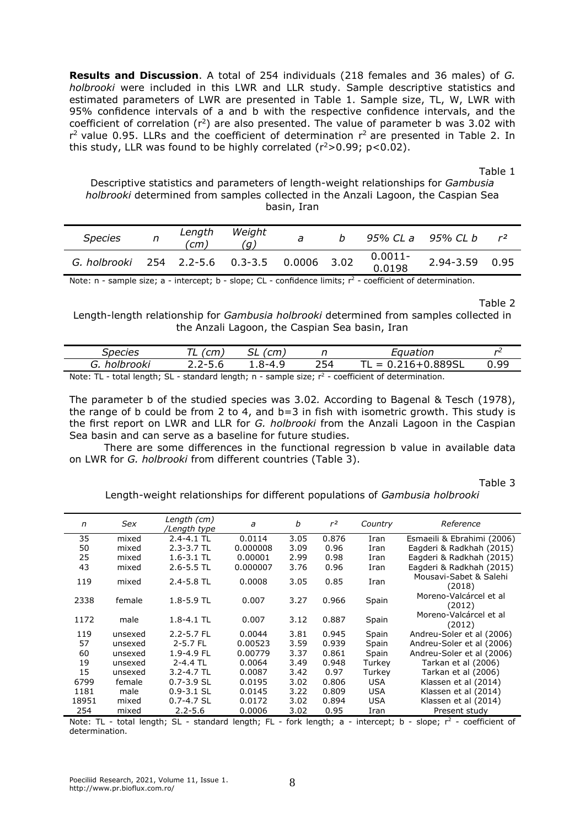**Results and Discussion**. A total of 254 individuals (218 females and 36 males) of *G. holbrooki* were included in this LWR and LLR study. Sample descriptive statistics and estimated parameters of LWR are presented in Table 1. Sample size, TL, W, LWR with 95% confidence intervals of a and b with the respective confidence intervals, and the coefficient of correlation  $(r^2)$  are also presented. The value of parameter b was 3.02 with  $r<sup>2</sup>$  value 0.95. LLRs and the coefficient of determination  $r<sup>2</sup>$  are presented in Table 2. In this study, LLR was found to be highly correlated ( $r^2$ >0.99; p<0.02).

Table 1

Descriptive statistics and parameters of length-weight relationships for *Gambusia holbrooki* determined from samples collected in the Anzali Lagoon, the Caspian Sea basin, Iran

| <b>Species</b> | Length<br>(cm | Weight<br>(a)                   |  |                   | 95% CL a 95% CL b | r <sup>2</sup> |
|----------------|---------------|---------------------------------|--|-------------------|-------------------|----------------|
| G. holbrooki   |               | 254 2.2-5.6 0.3-3.5 0.0006 3.02 |  | 0.0011-<br>0.0198 | 2.94-3.59 0.95    |                |

Note: n - sample size; a - intercept; b - slope; CL - confidence limits;  $r^2$  - coefficient of determination.

Table 2

Length-length relationship for *Gambusia holbrooki* determined from samples collected in the Anzali Lagoon, the Caspian Sea basin, Iran

| Species          | $\sim$ m | $\sim$ |     | Equation                                                                                             | n    |
|------------------|----------|--------|-----|------------------------------------------------------------------------------------------------------|------|
| holbrooki<br>ίт. | 2-5.6    |        | 254 | 16+0.889SL<br>$=$                                                                                    | 0.99 |
| Note: TI         |          |        |     | $t$ at all constant $\Omega$ at a standard legative process constants and constant and determination |      |

Note: TL - total length; SL - standard length; n - sample size;  $r^2$  - coefficient of determination.

The parameter b of the studied species was 3.02*.* According to Bagenal & Tesch (1978), the range of b could be from 2 to 4, and b=3 in fish with isometric growth. This study is the first report on LWR and LLR for *G. holbrooki* from the Anzali Lagoon in the Caspian Sea basin and can serve as a baseline for future studies.

There are some differences in the functional regression b value in available data on LWR for *G. holbrooki* from different countries (Table 3).

Table 3

Length-weight relationships for different populations of *Gambusia holbrooki*

| n     | Sex     | Length (cm)<br>/Length type | a        | b    | r <sup>2</sup> | Country    | Reference                        |
|-------|---------|-----------------------------|----------|------|----------------|------------|----------------------------------|
| 35    | mixed   | $2.4 - 4.1$ TL              | 0.0114   | 3.05 | 0.876          | Iran       | Esmaeili & Ebrahimi (2006)       |
| 50    | mixed   | $2.3 - 3.7$ TL              | 0.000008 | 3.09 | 0.96           | Iran       | Eagderi & Radkhah (2015)         |
| 25    | mixed   | $1.6 - 3.1$ TL              | 0.00001  | 2.99 | 0.98           | Iran       | Eagderi & Radkhah (2015)         |
| 43    | mixed   | $2.6 - 5.5$ TL              | 0.000007 | 3.76 | 0.96           | Iran       | Eagderi & Radkhah (2015)         |
| 119   | mixed   | $2.4 - 5.8$ TL              | 0.0008   | 3.05 | 0.85           | Iran       | Mousavi-Sabet & Salehi<br>(2018) |
| 2338  | female  | $1.8 - 5.9$ TL              | 0.007    | 3.27 | 0.966          | Spain      | Moreno-Valcárcel et al<br>(2012) |
| 1172  | male    | $1.8 - 4.1$ TL              | 0.007    | 3.12 | 0.887          | Spain      | Moreno-Valcárcel et al<br>(2012) |
| 119   | unsexed | $2.2 - 5.7$ FL              | 0.0044   | 3.81 | 0.945          | Spain      | Andreu-Soler et al (2006)        |
| 57    | unsexed | $2 - 5.7$ FL                | 0.00523  | 3.59 | 0.939          | Spain      | Andreu-Soler et al (2006)        |
| 60    | unsexed | 1.9-4.9 FL                  | 0.00779  | 3.37 | 0.861          | Spain      | Andreu-Soler et al (2006)        |
| 19    | unsexed | $2 - 4.4$ TL                | 0.0064   | 3.49 | 0.948          | Turkey     | Tarkan et al (2006)              |
| 15    | unsexed | $3.2 - 4.7$ TL              | 0.0087   | 3.42 | 0.97           | Turkev     | Tarkan et al (2006)              |
| 6799  | female  | $0.7 - 3.9$ SL              | 0.0195   | 3.02 | 0.806          | <b>USA</b> | Klassen et al (2014)             |
| 1181  | male    | $0.9 - 3.1$ SL              | 0.0145   | 3.22 | 0.809          | <b>USA</b> | Klassen et al (2014)             |
| 18951 | mixed   | $0.7 - 4.7$ SL              | 0.0172   | 3.02 | 0.894          | <b>USA</b> | Klassen et al (2014)             |
| 254   | mixed   | $2.2 - 5.6$                 | 0.0006   | 3.02 | 0.95           | Iran       | Present study                    |

Note: TL - total length; SL - standard length; FL - fork length;  $a$  - intercept;  $b$  - slope;  $r^2$  - coefficient of determination.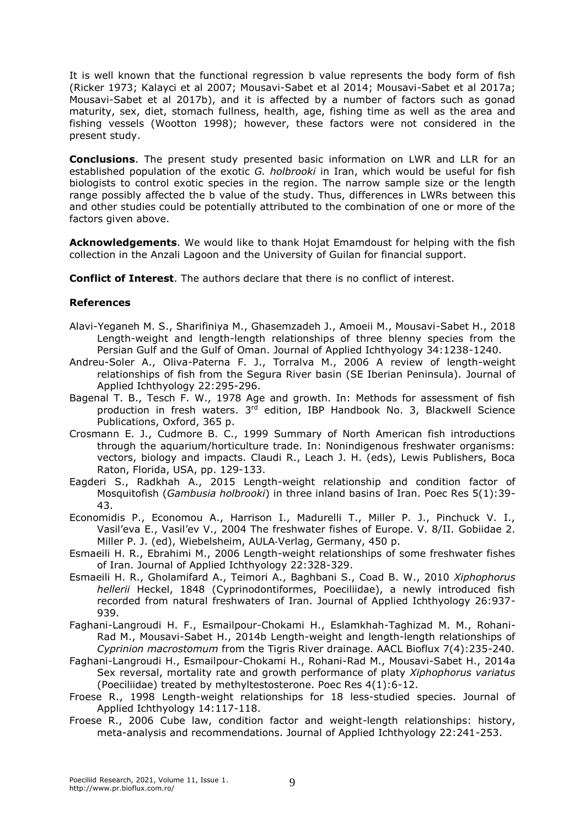It is well known that the functional regression b value represents the body form of fish (Ricker 1973; Kalayci et al 2007; Mousavi-Sabet et al 2014; Mousavi-Sabet et al 2017a; Mousavi-Sabet et al 2017b), and it is affected by a number of factors such as gonad maturity, sex, diet, stomach fullness, health, age, fishing time as well as the area and fishing vessels (Wootton 1998); however, these factors were not considered in the present study.

**Conclusions**. The present study presented basic information on LWR and LLR for an established population of the exotic *G. holbrooki* in Iran, which would be useful for fish biologists to control exotic species in the region. The narrow sample size or the length range possibly affected the b value of the study. Thus, differences in LWRs between this and other studies could be potentially attributed to the combination of one or more of the factors given above.

**Acknowledgements**. We would like to thank Hojat Emamdoust for helping with the fish collection in the Anzali Lagoon and the University of Guilan for financial support.

**Conflict of Interest**. The authors declare that there is no conflict of interest.

## **References**

- Alavi-Yeganeh M. S., Sharifiniya M., Ghasemzadeh J., Amoeii M., Mousavi-Sabet H., 2018 Length-weight and length-length relationships of three blenny species from the Persian Gulf and the Gulf of Oman. Journal of Applied Ichthyology 34:1238-1240.
- Andreu-Soler A., Oliva-Paterna F. J., Torralva M., 2006 A review of length-weight relationships of fish from the Segura River basin (SE Iberian Peninsula). Journal of Applied Ichthyology 22:295-296.
- Bagenal T. B., Tesch F. W., 1978 Age and growth. In: Methods for assessment of fish production in fresh waters. 3<sup>rd</sup> edition, IBP Handbook No. 3, Blackwell Science Publications, Oxford, 365 p.
- Crosmann E. J., Cudmore B. C., 1999 Summary of North American fish introductions through the aquarium/horticulture trade. In: Nonindigenous freshwater organisms: vectors, biology and impacts. Claudi R., Leach J. H. (eds), Lewis Publishers, Boca Raton, Florida, USA, pp. 129-133.
- Eagderi S., Radkhah A., 2015 Length-weight relationship and condition factor of Mosquitofish (*Gambusia holbrooki*) in three inland basins of Iran. Poec Res 5(1):39- 43.
- Economidis P., Economou A., Harrison I., Madurelli T., Miller P. J., Pinchuck V. I., Vasil'eva E., Vasil'ev V., 2004 The freshwater fishes of Europe. V. 8/II. Gobiidae 2. Miller P. J. (ed), Wiebelsheim, AULA‐Verlag, Germany, 450 p.
- Esmaeili H. R., Ebrahimi M., 2006 Length-weight relationships of some freshwater fishes of Iran. Journal of Applied Ichthyology 22:328-329.
- Esmaeili H. R., Gholamifard A., Teimori A., Baghbani S., Coad B. W., 2010 *Xiphophorus hellerii* Heckel, 1848 (Cyprinodontiformes, Poeciliidae), a newly introduced fish recorded from natural freshwaters of Iran. Journal of Applied Ichthyology 26:937- 939.
- Faghani-Langroudi H. F., Esmailpour-Chokami H., Eslamkhah-Taghizad M. M., Rohani-Rad M., Mousavi-Sabet H., 2014b Length-weight and length-length relationships of *Cyprinion macrostomum* from the Tigris River drainage. AACL Bioflux 7(4):235-240.
- Faghani-Langroudi H., Esmailpour-Chokami H., Rohani-Rad M., Mousavi-Sabet H., 2014a Sex reversal, mortality rate and growth performance of platy *Xiphophorus variatus*  (Poeciliidae) treated by methyltestosterone. Poec Res 4(1):6-12.
- Froese R., 1998 Length-weight relationships for 18 less-studied species. Journal of Applied Ichthyology 14:117-118.
- Froese R., 2006 Cube law, condition factor and weight-length relationships: history, meta-analysis and recommendations. Journal of Applied Ichthyology 22:241-253.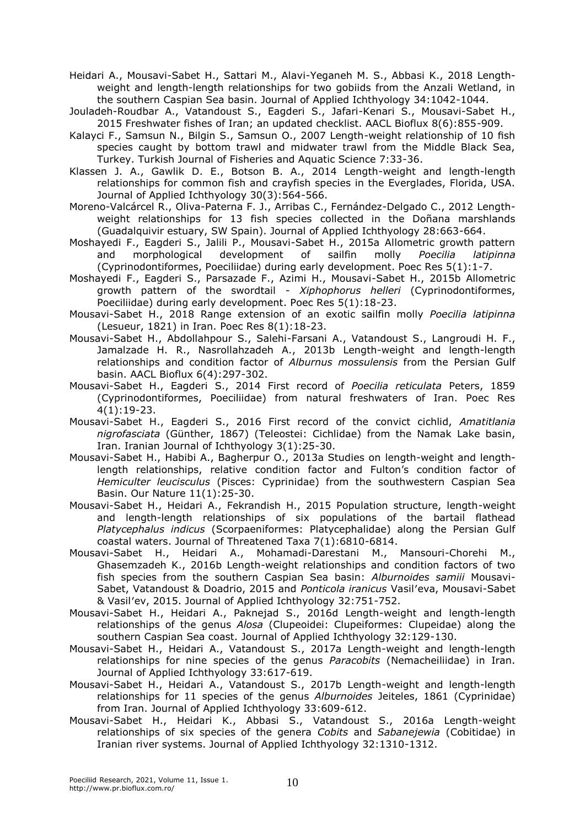Heidari A., Mousavi-Sabet H., Sattari M., Alavi-Yeganeh M. S., Abbasi K., 2018 Lengthweight and length-length relationships for two gobiids from the Anzali Wetland, in the southern Caspian Sea basin. Journal of Applied Ichthyology 34:1042-1044.

- Jouladeh-Roudbar A., Vatandoust S., Eagderi S., Jafari-Kenari S., Mousavi-Sabet H., 2015 Freshwater fishes of Iran; an updated checklist. AACL Bioflux 8(6):855-909.
- Kalayci F., Samsun N., Bilgin S., Samsun O., 2007 Length-weight relationship of 10 fish species caught by bottom trawl and midwater trawl from the Middle Black Sea, Turkey. Turkish Journal of Fisheries and Aquatic Science 7:33-36.

Klassen J. A., Gawlik D. E., Botson B. A., 2014 Length-weight and length-length relationships for common fish and crayfish species in the Everglades, Florida, USA. Journal of Applied Ichthyology 30(3):564-566.

- Moreno-Valcárcel R., Oliva-Paterna F. J., Arribas C., Fernández-Delgado C., 2012 Lengthweight relationships for 13 fish species collected in the Doñana marshlands (Guadalquivir estuary, SW Spain). Journal of Applied Ichthyology 28:663-664.
- Moshayedi F., Eagderi S., Jalili P., Mousavi-Sabet H., 2015a Allometric growth pattern and morphological development of sailfin molly *Poecilia latipinna*  (Cyprinodontiformes, Poeciliidae) during early development. Poec Res 5(1):1-7.
- Moshayedi F., Eagderi S., Parsazade F., Azimi H., Mousavi-Sabet H., 2015b Allometric growth pattern of the swordtail - *Xiphophorus helleri* (Cyprinodontiformes, Poeciliidae) during early development. Poec Res 5(1):18-23.
- Mousavi-Sabet H., 2018 Range extension of an exotic sailfin molly *Poecilia latipinna* (Lesueur, 1821) in Iran. Poec Res 8(1):18-23.
- Mousavi-Sabet H., Abdollahpour S., Salehi-Farsani A., Vatandoust S., Langroudi H. F., Jamalzade H. R., Nasrollahzadeh A., 2013b Length-weight and length-length relationships and condition factor of *Alburnus mossulensis* from the Persian Gulf basin. AACL Bioflux 6(4):297-302.
- Mousavi-Sabet H., Eagderi S., 2014 First record of *Poecilia reticulata* Peters, 1859 (Cyprinodontiformes, Poeciliidae) from natural freshwaters of Iran. Poec Res 4(1):19-23.
- Mousavi-Sabet H., Eagderi S., 2016 First record of the convict cichlid, *Amatitlania nigrofasciata* (Günther, 1867) (Teleostei: Cichlidae) from the Namak Lake basin, Iran. Iranian Journal of Ichthyology 3(1):25-30.
- Mousavi-Sabet H., Habibi A., Bagherpur O., 2013a Studies on length-weight and lengthlength relationships, relative condition factor and Fulton's condition factor of *Hemiculter leucisculus* (Pisces: Cyprinidae) from the southwestern Caspian Sea Basin. Our Nature 11(1):25-30.
- Mousavi-Sabet H., Heidari A., Fekrandish H., 2015 Population structure, length-weight and length-length relationships of six populations of the bartail flathead *Platycephalus indicus* (Scorpaeniformes: Platycephalidae) along the Persian Gulf coastal waters. Journal of Threatened Taxa 7(1):6810-6814.
- Mousavi-Sabet H., Heidari A., Mohamadi-Darestani M., Mansouri-Chorehi M., Ghasemzadeh K., 2016b Length-weight relationships and condition factors of two fish species from the southern Caspian Sea basin: *Alburnoides samiii* Mousavi-Sabet, Vatandoust & Doadrio, 2015 and *Ponticola iranicus* Vasil′eva, Mousavi-Sabet & Vasil′ev, 2015. Journal of Applied Ichthyology 32:751-752.
- Mousavi-Sabet H., Heidari A., Paknejad S., 2016d Length-weight and length-length relationships of the genus *Alosa* (Clupeoidei: Clupeiformes: Clupeidae) along the southern Caspian Sea coast. Journal of Applied Ichthyology 32:129-130.
- Mousavi-Sabet H., Heidari A., Vatandoust S., 2017a Length-weight and length-length relationships for nine species of the genus *Paracobits* (Nemacheiliidae) in Iran. Journal of Applied Ichthyology 33:617-619.
- Mousavi-Sabet H., Heidari A., Vatandoust S., 2017b Length-weight and length-length relationships for 11 species of the genus *Alburnoides* Jeiteles, 1861 (Cyprinidae) from Iran. Journal of Applied Ichthyology 33:609-612.
- Mousavi-Sabet H., Heidari K., Abbasi S., Vatandoust S., 2016a Length-weight relationships of six species of the genera *Cobits* and *Sabanejewia* (Cobitidae) in Iranian river systems. Journal of Applied Ichthyology 32:1310-1312.